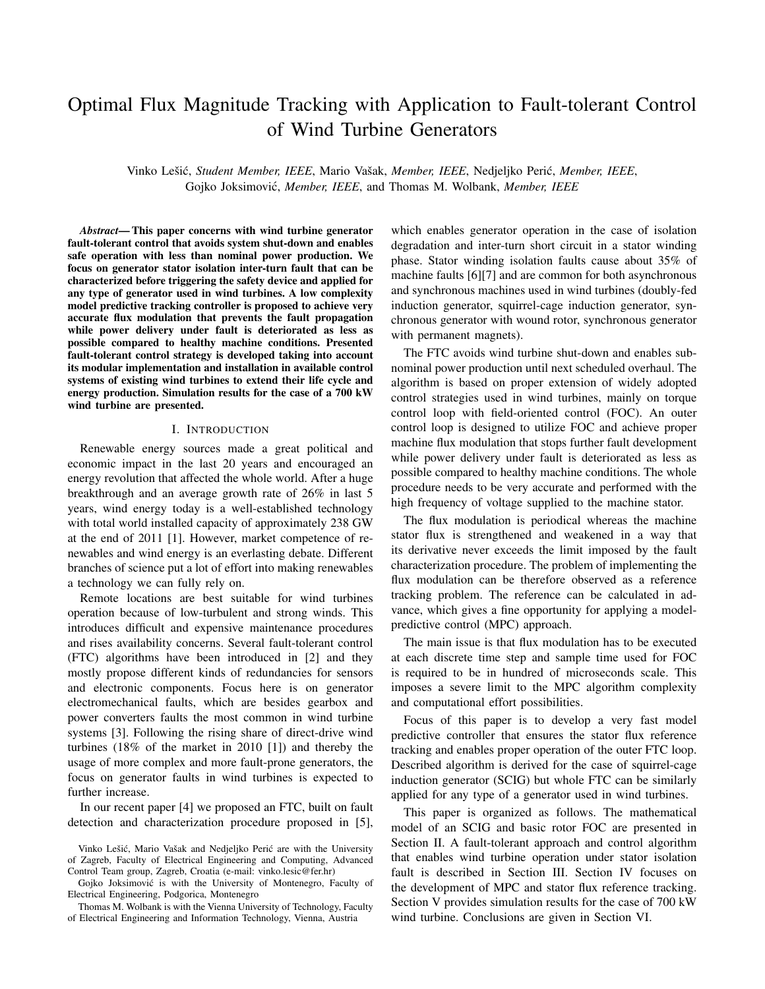# Optimal Flux Magnitude Tracking with Application to Fault-tolerant Control of Wind Turbine Generators

Vinko Lešić, Student Member, IEEE, Mario Vašak, Member, IEEE, Nedjeljko Perić, Member, IEEE, Gojko Joksimovic,´ *Member, IEEE*, and Thomas M. Wolbank, *Member, IEEE*

*Abstract*— This paper concerns with wind turbine generator fault-tolerant control that avoids system shut-down and enables safe operation with less than nominal power production. We focus on generator stator isolation inter-turn fault that can be characterized before triggering the safety device and applied for any type of generator used in wind turbines. A low complexity model predictive tracking controller is proposed to achieve very accurate flux modulation that prevents the fault propagation while power delivery under fault is deteriorated as less as possible compared to healthy machine conditions. Presented fault-tolerant control strategy is developed taking into account its modular implementation and installation in available control systems of existing wind turbines to extend their life cycle and energy production. Simulation results for the case of a 700 kW wind turbine are presented.

## I. INTRODUCTION

Renewable energy sources made a great political and economic impact in the last 20 years and encouraged an energy revolution that affected the whole world. After a huge breakthrough and an average growth rate of 26% in last 5 years, wind energy today is a well-established technology with total world installed capacity of approximately 238 GW at the end of 2011 [1]. However, market competence of renewables and wind energy is an everlasting debate. Different branches of science put a lot of effort into making renewables a technology we can fully rely on.

Remote locations are best suitable for wind turbines operation because of low-turbulent and strong winds. This introduces difficult and expensive maintenance procedures and rises availability concerns. Several fault-tolerant control (FTC) algorithms have been introduced in [2] and they mostly propose different kinds of redundancies for sensors and electronic components. Focus here is on generator electromechanical faults, which are besides gearbox and power converters faults the most common in wind turbine systems [3]. Following the rising share of direct-drive wind turbines (18% of the market in 2010 [1]) and thereby the usage of more complex and more fault-prone generators, the focus on generator faults in wind turbines is expected to further increase.

In our recent paper [4] we proposed an FTC, built on fault detection and characterization procedure proposed in [5],

which enables generator operation in the case of isolation degradation and inter-turn short circuit in a stator winding phase. Stator winding isolation faults cause about 35% of machine faults [6][7] and are common for both asynchronous and synchronous machines used in wind turbines (doubly-fed induction generator, squirrel-cage induction generator, synchronous generator with wound rotor, synchronous generator with permanent magnets).

The FTC avoids wind turbine shut-down and enables subnominal power production until next scheduled overhaul. The algorithm is based on proper extension of widely adopted control strategies used in wind turbines, mainly on torque control loop with field-oriented control (FOC). An outer control loop is designed to utilize FOC and achieve proper machine flux modulation that stops further fault development while power delivery under fault is deteriorated as less as possible compared to healthy machine conditions. The whole procedure needs to be very accurate and performed with the high frequency of voltage supplied to the machine stator.

The flux modulation is periodical whereas the machine stator flux is strengthened and weakened in a way that its derivative never exceeds the limit imposed by the fault characterization procedure. The problem of implementing the flux modulation can be therefore observed as a reference tracking problem. The reference can be calculated in advance, which gives a fine opportunity for applying a modelpredictive control (MPC) approach.

The main issue is that flux modulation has to be executed at each discrete time step and sample time used for FOC is required to be in hundred of microseconds scale. This imposes a severe limit to the MPC algorithm complexity and computational effort possibilities.

Focus of this paper is to develop a very fast model predictive controller that ensures the stator flux reference tracking and enables proper operation of the outer FTC loop. Described algorithm is derived for the case of squirrel-cage induction generator (SCIG) but whole FTC can be similarly applied for any type of a generator used in wind turbines.

This paper is organized as follows. The mathematical model of an SCIG and basic rotor FOC are presented in Section II. A fault-tolerant approach and control algorithm that enables wind turbine operation under stator isolation fault is described in Section III. Section IV focuses on the development of MPC and stator flux reference tracking. Section V provides simulation results for the case of 700 kW wind turbine. Conclusions are given in Section VI.

Vinko Lešić, Mario Vašak and Nedjeljko Perić are with the University of Zagreb, Faculty of Electrical Engineering and Computing, Advanced Control Team group, Zagreb, Croatia (e-mail: vinko.lesic@fer.hr)

Gojko Joksimovic is with the University of Montenegro, Faculty of ´ Electrical Engineering, Podgorica, Montenegro

Thomas M. Wolbank is with the Vienna University of Technology, Faculty of Electrical Engineering and Information Technology, Vienna, Austria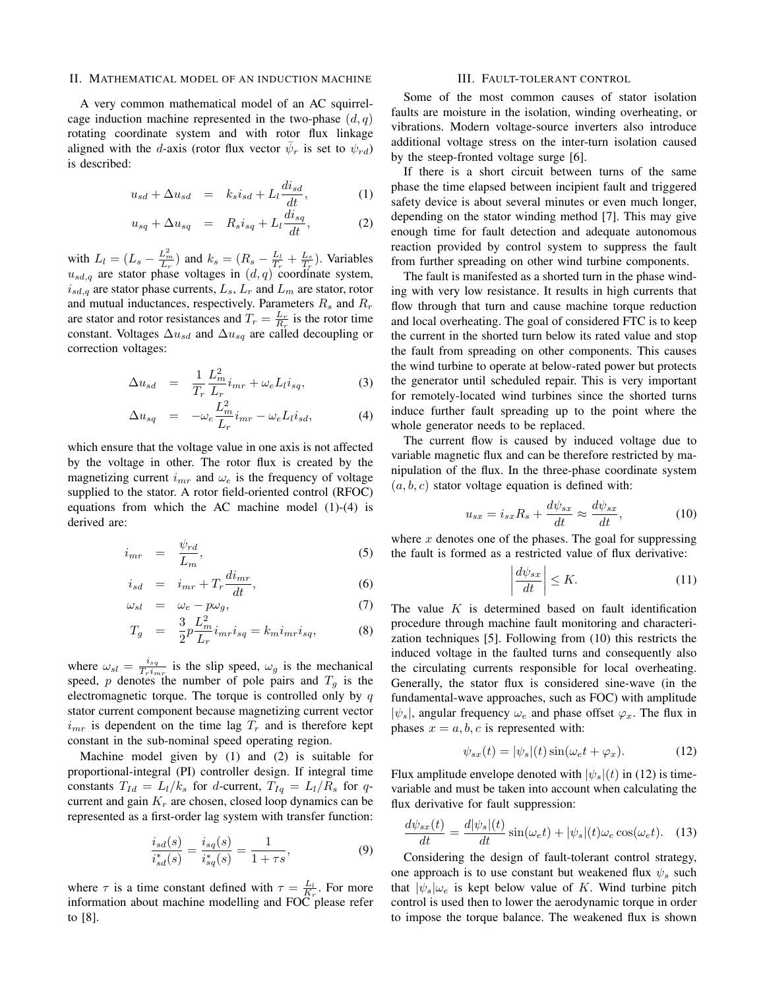#### II. MATHEMATICAL MODEL OF AN INDUCTION MACHINE

A very common mathematical model of an AC squirrelcage induction machine represented in the two-phase  $(d, q)$ rotating coordinate system and with rotor flux linkage aligned with the d-axis (rotor flux vector  $\bar{\psi}_r$  is set to  $\psi_{rd}$ ) is described:

$$
u_{sd} + \Delta u_{sd} = k_s i_{sd} + L_l \frac{di_{sd}}{dt}, \qquad (1)
$$

$$
u_{sq} + \Delta u_{sq} = R_s i_{sq} + L_l \frac{di_{sq}}{dt}, \qquad (2)
$$

with  $L_l = (L_s - \frac{L_m^2}{L_r})$  and  $k_s = (R_s - \frac{L_l}{T_r} + \frac{L_s}{T_r})$ . Variables  $u_{sd,q}$  are stator phase voltages in  $(d,q)$  coordinate system,  $i_{sd,q}$  are stator phase currents,  $L_s$ ,  $L_r$  and  $L_m$  are stator, rotor and mutual inductances, respectively. Parameters  $R_s$  and  $R_r$ are stator and rotor resistances and  $T_r = \frac{L_r}{R_r}$  is the rotor time constant. Voltages  $\Delta u_{sd}$  and  $\Delta u_{sq}$  are called decoupling or correction voltages:

$$
\Delta u_{sd} = \frac{1}{T_r} \frac{L_m^2}{L_r} i_{mr} + \omega_e L_l i_{sq}, \tag{3}
$$

$$
\Delta u_{sq} = -\omega_e \frac{L_m^2}{L_r} i_{mr} - \omega_e L_l i_{sd}, \tag{4}
$$

which ensure that the voltage value in one axis is not affected by the voltage in other. The rotor flux is created by the magnetizing current  $i_{mr}$  and  $\omega_e$  is the frequency of voltage supplied to the stator. A rotor field-oriented control (RFOC) equations from which the AC machine model (1)-(4) is derived are:

$$
i_{mr} = \frac{\psi_{rd}}{L_m}, \tag{5}
$$

$$
i_{sd} = i_{mr} + T_r \frac{di_{mr}}{dt}, \qquad (6)
$$

$$
\omega_{sl} = \omega_e - p\omega_g, \tag{7}
$$

$$
T_g = \frac{3}{2} p \frac{L_m^2}{L_r} i_{mr} i_{sq} = k_m i_{mr} i_{sq}, \qquad (8)
$$

where  $\omega_{sl} = \frac{i_{sq}}{T_{l,i}}$  $\frac{i_{sq}}{Tr\,i_{mr}}$  is the slip speed,  $\omega_g$  is the mechanical speed, p denotes the number of pole pairs and  $T_g$  is the electromagnetic torque. The torque is controlled only by  $q$ stator current component because magnetizing current vector  $i_{mr}$  is dependent on the time lag  $T_r$  and is therefore kept constant in the sub-nominal speed operating region.

Machine model given by (1) and (2) is suitable for proportional-integral (PI) controller design. If integral time constants  $T_{Id} = L_l/k_s$  for d-current,  $T_{Iq} = L_l/R_s$  for qcurrent and gain  $K_r$  are chosen, closed loop dynamics can be represented as a first-order lag system with transfer function:

$$
\frac{i_{sd}(s)}{i_{sd}^*(s)} = \frac{i_{sq}(s)}{i_{sq}^*(s)} = \frac{1}{1+\tau s},\tag{9}
$$

where  $\tau$  is a time constant defined with  $\tau = \frac{L_l}{K_r}$ . For more information about machine modelling and FOC please refer to [8].

#### III. FAULT-TOLERANT CONTROL

Some of the most common causes of stator isolation faults are moisture in the isolation, winding overheating, or vibrations. Modern voltage-source inverters also introduce additional voltage stress on the inter-turn isolation caused by the steep-fronted voltage surge [6].

If there is a short circuit between turns of the same phase the time elapsed between incipient fault and triggered safety device is about several minutes or even much longer, depending on the stator winding method [7]. This may give enough time for fault detection and adequate autonomous reaction provided by control system to suppress the fault from further spreading on other wind turbine components.

The fault is manifested as a shorted turn in the phase winding with very low resistance. It results in high currents that flow through that turn and cause machine torque reduction and local overheating. The goal of considered FTC is to keep the current in the shorted turn below its rated value and stop the fault from spreading on other components. This causes the wind turbine to operate at below-rated power but protects the generator until scheduled repair. This is very important for remotely-located wind turbines since the shorted turns induce further fault spreading up to the point where the whole generator needs to be replaced.

The current flow is caused by induced voltage due to variable magnetic flux and can be therefore restricted by manipulation of the flux. In the three-phase coordinate system  $(a, b, c)$  stator voltage equation is defined with:

$$
u_{sx} = i_{sx}R_s + \frac{d\psi_{sx}}{dt} \approx \frac{d\psi_{sx}}{dt},\qquad(10)
$$

where  $x$  denotes one of the phases. The goal for suppressing the fault is formed as a restricted value of flux derivative:

$$
\left| \frac{d\psi_{sx}}{dt} \right| \le K. \tag{11}
$$

The value  $K$  is determined based on fault identification procedure through machine fault monitoring and characterization techniques [5]. Following from (10) this restricts the induced voltage in the faulted turns and consequently also the circulating currents responsible for local overheating. Generally, the stator flux is considered sine-wave (in the fundamental-wave approaches, such as FOC) with amplitude  $|\psi_s|$ , angular frequency  $\omega_e$  and phase offset  $\varphi_x$ . The flux in phases  $x = a, b, c$  is represented with:

$$
\psi_{sx}(t) = |\psi_s|(t) \sin(\omega_e t + \varphi_x). \tag{12}
$$

Flux amplitude envelope denoted with  $|\psi_{s}|(t)$  in (12) is timevariable and must be taken into account when calculating the flux derivative for fault suppression:

$$
\frac{d\psi_{sx}(t)}{dt} = \frac{d|\psi_s|(t)}{dt}\sin(\omega_e t) + |\psi_s|(t)\omega_e \cos(\omega_e t). \quad (13)
$$

Considering the design of fault-tolerant control strategy, one approach is to use constant but weakened flux  $\psi_s$  such that  $|\psi_{s}|\omega_{e}$  is kept below value of K. Wind turbine pitch control is used then to lower the aerodynamic torque in order to impose the torque balance. The weakened flux is shown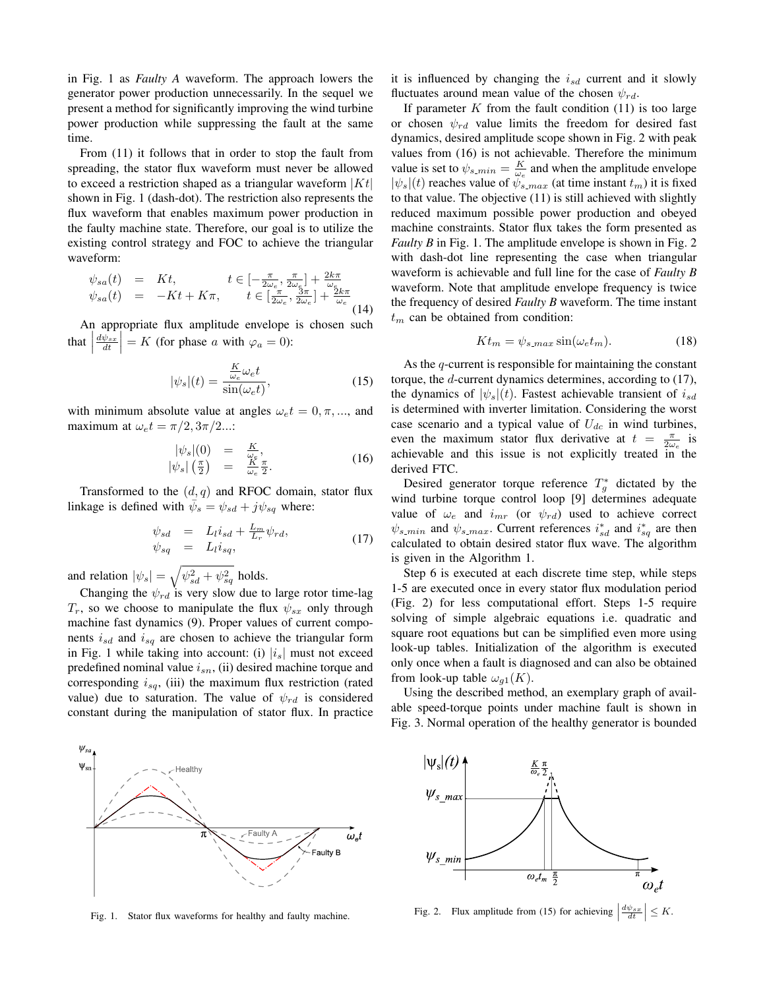in Fig. 1 as *Faulty A* waveform. The approach lowers the generator power production unnecessarily. In the sequel we present a method for significantly improving the wind turbine power production while suppressing the fault at the same time.

From (11) it follows that in order to stop the fault from spreading, the stator flux waveform must never be allowed to exceed a restriction shaped as a triangular waveform  $|Kt|$ shown in Fig. 1 (dash-dot). The restriction also represents the flux waveform that enables maximum power production in the faulty machine state. Therefore, our goal is to utilize the existing control strategy and FOC to achieve the triangular waveform:

$$
\psi_{sa}(t) = Kt, \qquad t \in [-\frac{\pi}{2\omega_e}, \frac{\pi}{2\omega_e}] + \frac{2k\pi}{\omega_e}
$$
  

$$
\psi_{sa}(t) = -Kt + K\pi, \qquad t \in [\frac{\pi}{2\omega_e}, \frac{3\pi}{2\omega_e}] + \frac{2k\pi}{\omega_e}
$$
(14)

An appropriate flux amplitude envelope is chosen such that  $\Big|$  $\frac{d\psi_{sx}}{dt}$  = K (for phase a with  $\varphi_a = 0$ ):

$$
|\psi_s|(t) = \frac{\frac{K}{\omega_e}\omega_e t}{\sin(\omega_e t)},\tag{15}
$$

with minimum absolute value at angles  $\omega_e t = 0, \pi, \dots$ , and maximum at  $\omega_e t = \pi/2, 3\pi/2...$ :

$$
\begin{array}{rcl}\n|\psi_s|(0) & = & \frac{K}{\omega_c}, \\
|\psi_s|\left(\frac{\pi}{2}\right) & = & \frac{K}{\omega_c}\frac{\pi}{2}.\n\end{array} \tag{16}
$$

Transformed to the  $(d, q)$  and RFOC domain, stator flux linkage is defined with  $\overline{\psi}_s = \psi_{sd} + j\psi_{sq}$  where:

$$
\psi_{sd} = L_l i_{sd} + \frac{L_m}{L_r} \psi_{rd}, \n\psi_{sq} = L_l i_{sq},
$$
\n(17)

and relation  $|\psi_s| = \sqrt{\psi_{sd}^2 + \psi_{sq}^2}$  holds.

Changing the  $\psi_{rd}$  is very slow due to large rotor time-lag  $T_r$ , so we choose to manipulate the flux  $\psi_{sx}$  only through machine fast dynamics (9). Proper values of current components  $i_{sd}$  and  $i_{sq}$  are chosen to achieve the triangular form in Fig. 1 while taking into account: (i)  $|i_s|$  must not exceed predefined nominal value  $i_{sn}$ , (ii) desired machine torque and corresponding  $i_{sq}$ , (iii) the maximum flux restriction (rated value) due to saturation. The value of  $\psi_{rd}$  is considered constant during the manipulation of stator flux. In practice



Fig. 1. Stator flux waveforms for healthy and faulty machine.

it is influenced by changing the  $i_{sd}$  current and it slowly fluctuates around mean value of the chosen  $\psi_{rd}$ .

If parameter  $K$  from the fault condition (11) is too large or chosen  $\psi_{rd}$  value limits the freedom for desired fast dynamics, desired amplitude scope shown in Fig. 2 with peak values from (16) is not achievable. Therefore the minimum value is set to  $\psi_{s,min} = \frac{K}{\omega_e}$  and when the amplitude envelope  $|\psi_s|(t)$  reaches value of  $\psi_{s,max}$  (at time instant  $t_m$ ) it is fixed to that value. The objective (11) is still achieved with slightly reduced maximum possible power production and obeyed machine constraints. Stator flux takes the form presented as *Faulty B* in Fig. 1. The amplitude envelope is shown in Fig. 2 with dash-dot line representing the case when triangular waveform is achievable and full line for the case of *Faulty B* waveform. Note that amplitude envelope frequency is twice the frequency of desired *Faulty B* waveform. The time instant  $t_m$  can be obtained from condition:

$$
Kt_m = \psi_{s,max} \sin(\omega_e t_m). \tag{18}
$$

As the q-current is responsible for maintaining the constant torque, the d-current dynamics determines, according to (17), the dynamics of  $|\psi_{s}|(t)$ . Fastest achievable transient of  $i_{sd}$ is determined with inverter limitation. Considering the worst case scenario and a typical value of  $U_{dc}$  in wind turbines, even the maximum stator flux derivative at  $t = \frac{\pi}{2\omega_e}$  is achievable and this issue is not explicitly treated in the derived FTC.

Desired generator torque reference  $T_g^*$  dictated by the wind turbine torque control loop [9] determines adequate value of  $\omega_e$  and  $i_{mr}$  (or  $\psi_{rd}$ ) used to achieve correct  $\psi_{s,min}$  and  $\psi_{s,max}$ . Current references  $i_{sd}^*$  and  $i_{sq}^*$  are then calculated to obtain desired stator flux wave. The algorithm is given in the Algorithm 1.

Step 6 is executed at each discrete time step, while steps 1-5 are executed once in every stator flux modulation period (Fig. 2) for less computational effort. Steps 1-5 require solving of simple algebraic equations i.e. quadratic and square root equations but can be simplified even more using look-up tables. Initialization of the algorithm is executed only once when a fault is diagnosed and can also be obtained from look-up table  $\omega_{q1}(K)$ .

Using the described method, an exemplary graph of available speed-torque points under machine fault is shown in Fig. 3. Normal operation of the healthy generator is bounded



Fig. 2. Flux amplitude from (15) for achieving  $\Big|$  $\left|\frac{d\psi_{sx}}{dt}\right| \leq K.$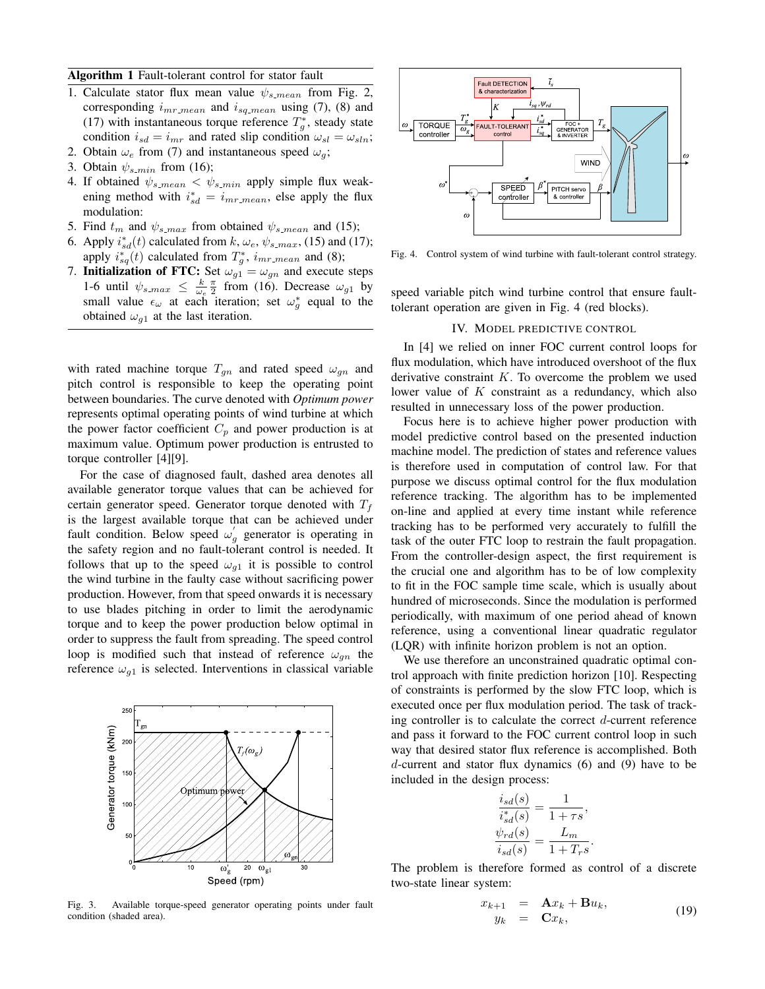Algorithm 1 Fault-tolerant control for stator fault

- 1. Calculate stator flux mean value  $\psi_{s \text{mean}}$  from Fig. 2, corresponding  $i_{mr\_mean}$  and  $i_{sq\_mean}$  using (7), (8) and (17) with instantaneous torque reference  $T_g^*$ , steady state condition  $i_{sd} = i_{mr}$  and rated slip condition  $\omega_{sl} = \omega_{sln}$ ;
- 2. Obtain  $\omega_e$  from (7) and instantaneous speed  $\omega_q$ ; 3. Obtain  $\psi_{s,min}$  from (16);
- 4. If obtained  $\psi_{s\_{mean}} < \psi_{s\_{min}}$  apply simple flux weakening method with  $i_{sd}^* = i_{mr\_mean}$ , else apply the flux modulation:
- 5. Find  $t_m$  and  $\psi_{s,max}$  from obtained  $\psi_{s-mean}$  and (15);
- 6. Apply  $i_{sd}^*(t)$  calculated from  $k, \omega_e, \psi_{s\_max}$ , (15) and (17); apply  $i_{sq}^{*}(t)$  calculated from  $T_g^{*}$ ,  $i_{mr\_mean}$  and (8);
- 7. Initialization of FTC: Set  $\omega_{g1} = \omega_{gn}$  and execute steps 1-6 until  $\psi_{s,max} \leq \frac{k}{\omega_e} \frac{\pi}{2}$  from (16). Decrease  $\omega_{g1}$  by small value  $\epsilon_{\omega}$  at each iteration; set  $\omega_{g}^{*}$  equal to the obtained  $\omega_{g1}$  at the last iteration.

with rated machine torque  $T_{gn}$  and rated speed  $\omega_{gn}$  and pitch control is responsible to keep the operating point between boundaries. The curve denoted with *Optimum power* represents optimal operating points of wind turbine at which the power factor coefficient  $C_p$  and power production is at maximum value. Optimum power production is entrusted to torque controller [4][9].

For the case of diagnosed fault, dashed area denotes all available generator torque values that can be achieved for certain generator speed. Generator torque denoted with  $T_f$ is the largest available torque that can be achieved under fault condition. Below speed  $\omega'_{g}$  generator is operating in the safety region and no fault-tolerant control is needed. It follows that up to the speed  $\omega_{q1}$  it is possible to control the wind turbine in the faulty case without sacrificing power production. However, from that speed onwards it is necessary to use blades pitching in order to limit the aerodynamic torque and to keep the power production below optimal in order to suppress the fault from spreading. The speed control loop is modified such that instead of reference  $\omega_{qn}$  the reference  $\omega_{g1}$  is selected. Interventions in classical variable



Fig. 3. Available torque-speed generator operating points under fault condition (shaded area).



Fig. 4. Control system of wind turbine with fault-tolerant control strategy.

speed variable pitch wind turbine control that ensure faulttolerant operation are given in Fig. 4 (red blocks).

## IV. MODEL PREDICTIVE CONTROL

In [4] we relied on inner FOC current control loops for flux modulation, which have introduced overshoot of the flux derivative constraint  $K$ . To overcome the problem we used lower value of  $K$  constraint as a redundancy, which also resulted in unnecessary loss of the power production.

Focus here is to achieve higher power production with model predictive control based on the presented induction machine model. The prediction of states and reference values is therefore used in computation of control law. For that purpose we discuss optimal control for the flux modulation reference tracking. The algorithm has to be implemented on-line and applied at every time instant while reference tracking has to be performed very accurately to fulfill the task of the outer FTC loop to restrain the fault propagation. From the controller-design aspect, the first requirement is the crucial one and algorithm has to be of low complexity to fit in the FOC sample time scale, which is usually about hundred of microseconds. Since the modulation is performed periodically, with maximum of one period ahead of known reference, using a conventional linear quadratic regulator (LQR) with infinite horizon problem is not an option.

We use therefore an unconstrained quadratic optimal control approach with finite prediction horizon [10]. Respecting of constraints is performed by the slow FTC loop, which is executed once per flux modulation period. The task of tracking controller is to calculate the correct d-current reference and pass it forward to the FOC current control loop in such way that desired stator flux reference is accomplished. Both d-current and stator flux dynamics (6) and (9) have to be included in the design process:

$$
\frac{i_{sd}(s)}{i_{sd}^*(s)} = \frac{1}{1+\tau s},
$$
  

$$
\frac{\psi_{rd}(s)}{i_{sd}(s)} = \frac{L_m}{1+T_r s}.
$$

The problem is therefore formed as control of a discrete two-state linear system:

$$
x_{k+1} = \mathbf{A}x_k + \mathbf{B}u_k,
$$
  
\n
$$
y_k = \mathbf{C}x_k,
$$
\n(19)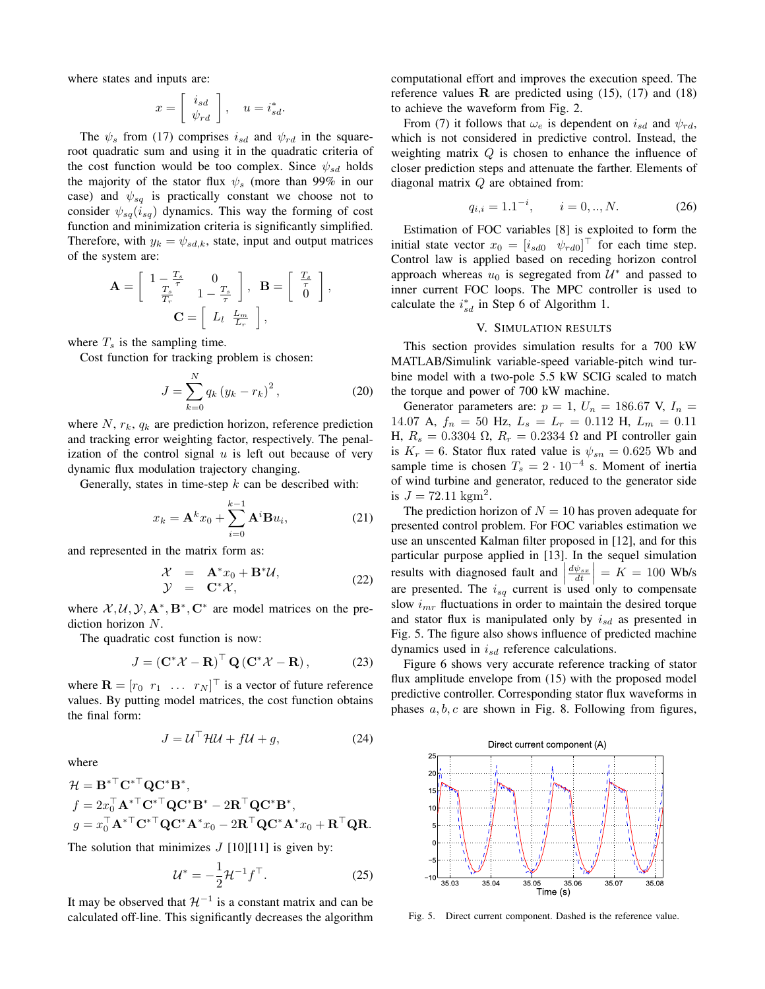where states and inputs are:

$$
x = \left[ \begin{array}{c} i_{sd} \\ \psi_{rd} \end{array} \right], \quad u = i_{sd}^*.
$$

The  $\psi_s$  from (17) comprises  $i_{sd}$  and  $\psi_{rd}$  in the squareroot quadratic sum and using it in the quadratic criteria of the cost function would be too complex. Since  $\psi_{sd}$  holds the majority of the stator flux  $\psi_s$  (more than 99% in our case) and  $\psi_{sq}$  is practically constant we choose not to consider  $\psi_{sq}(i_{sq})$  dynamics. This way the forming of cost function and minimization criteria is significantly simplified. Therefore, with  $y_k = \psi_{sd,k}$ , state, input and output matrices of the system are:

$$
\mathbf{A} = \begin{bmatrix} 1 - \frac{T_s}{T_s} & 0 \\ \frac{T_s}{T_r} & 1 - \frac{T_s}{\tau} \end{bmatrix}, \quad \mathbf{B} = \begin{bmatrix} \frac{T_s}{\tau} \\ 0 \end{bmatrix},
$$

$$
\mathbf{C} = \begin{bmatrix} L_l & \frac{L_m}{L_r} \end{bmatrix},
$$

where  $T_s$  is the sampling time.

Cost function for tracking problem is chosen:

$$
J = \sum_{k=0}^{N} q_k (y_k - r_k)^2, \qquad (20)
$$

where  $N$ ,  $r_k$ ,  $q_k$  are prediction horizon, reference prediction and tracking error weighting factor, respectively. The penalization of the control signal  $u$  is left out because of very dynamic flux modulation trajectory changing.

Generally, states in time-step  $k$  can be described with:

$$
x_k = \mathbf{A}^k x_0 + \sum_{i=0}^{k-1} \mathbf{A}^i \mathbf{B} u_i,
$$
 (21)

and represented in the matrix form as:

$$
\mathcal{X} = \mathbf{A}^* x_0 + \mathbf{B}^* \mathcal{U}, \n\mathcal{Y} = \mathbf{C}^* \mathcal{X},
$$
\n(22)

where  $X, U, Y, A^*, B^*, C^*$  are model matrices on the prediction horizon N.

The quadratic cost function is now:

$$
J = \left(\mathbf{C}^* \mathcal{X} - \mathbf{R}\right)^\top \mathbf{Q} \left(\mathbf{C}^* \mathcal{X} - \mathbf{R}\right),\tag{23}
$$

where  $\mathbf{R} = \begin{bmatrix} r_0 & r_1 & \dots & r_N \end{bmatrix}^\top$  is a vector of future reference values. By putting model matrices, the cost function obtains the final form:

$$
J = \mathcal{U}^\top \mathcal{H} \mathcal{U} + f \mathcal{U} + g,\tag{24}
$$

where

$$
\mathcal{H} = \mathbf{B}^{*\top} \mathbf{C}^{*\top} \mathbf{Q} \mathbf{C}^* \mathbf{B}^*,
$$
  
\n
$$
f = 2x_0^\top \mathbf{A}^{*\top} \mathbf{C}^{*\top} \mathbf{Q} \mathbf{C}^* \mathbf{B}^* - 2 \mathbf{R}^\top \mathbf{Q} \mathbf{C}^* \mathbf{B}^*,
$$
  
\n
$$
g = x_0^\top \mathbf{A}^{*\top} \mathbf{C}^{*\top} \mathbf{Q} \mathbf{C}^* \mathbf{A}^* x_0 - 2 \mathbf{R}^\top \mathbf{Q} \mathbf{C}^* \mathbf{A}^* x_0 + \mathbf{R}^\top \mathbf{Q} \mathbf{R}.
$$

The solution that minimizes  $J$  [10][11] is given by:

$$
\mathcal{U}^* = -\frac{1}{2}\mathcal{H}^{-1}f^\top. \tag{25}
$$

It may be observed that  $\mathcal{H}^{-1}$  is a constant matrix and can be calculated off-line. This significantly decreases the algorithm computational effort and improves the execution speed. The reference values  $\bf{R}$  are predicted using (15), (17) and (18) to achieve the waveform from Fig. 2.

From (7) it follows that  $\omega_e$  is dependent on  $i_{sd}$  and  $\psi_{rd}$ , which is not considered in predictive control. Instead, the weighting matrix Q is chosen to enhance the influence of closer prediction steps and attenuate the farther. Elements of diagonal matrix Q are obtained from:

$$
q_{i,i} = 1.1^{-i}, \qquad i = 0,..,N. \tag{26}
$$

Estimation of FOC variables [8] is exploited to form the initial state vector  $x_0 = [i_{sd0} \quad \psi_{rd0}]^\top$  for each time step. Control law is applied based on receding horizon control approach whereas  $u_0$  is segregated from  $\mathcal{U}^*$  and passed to inner current FOC loops. The MPC controller is used to calculate the  $i_{sd}^*$  in Step 6 of Algorithm 1.

## V. SIMULATION RESULTS

This section provides simulation results for a 700 kW MATLAB/Simulink variable-speed variable-pitch wind turbine model with a two-pole 5.5 kW SCIG scaled to match the torque and power of 700 kW machine.

Generator parameters are:  $p = 1$ ,  $U_n = 186.67$  V,  $I_n =$ 14.07 A,  $f_n = 50$  Hz,  $L_s = L_r = 0.112$  H,  $L_m = 0.11$ H,  $R_s = 0.3304 \Omega$ ,  $R_r = 0.2334 \Omega$  and PI controller gain is  $K_r = 6$ . Stator flux rated value is  $\psi_{sn} = 0.625$  Wb and sample time is chosen  $T_s = 2 \cdot 10^{-4}$  s. Moment of inertia of wind turbine and generator, reduced to the generator side is  $J = 72.11 \text{ kgm}^2$ .

The prediction horizon of  $N = 10$  has proven adequate for presented control problem. For FOC variables estimation we use an unscented Kalman filter proposed in [12], and for this particular purpose applied in [13]. In the sequel simulation results with diagnosed fault and  $\left|\frac{d\psi_{sx}}{dt}\right| = K = 100$  Wb/s are presented. The  $i_{sq}$  current is used only to compensate slow  $i_{mr}$  fluctuations in order to maintain the desired torque and stator flux is manipulated only by  $i_{sd}$  as presented in Fig. 5. The figure also shows influence of predicted machine dynamics used in  $i_{sd}$  reference calculations.

Figure 6 shows very accurate reference tracking of stator flux amplitude envelope from (15) with the proposed model predictive controller. Corresponding stator flux waveforms in phases  $a, b, c$  are shown in Fig. 8. Following from figures,



Fig. 5. Direct current component. Dashed is the reference value.